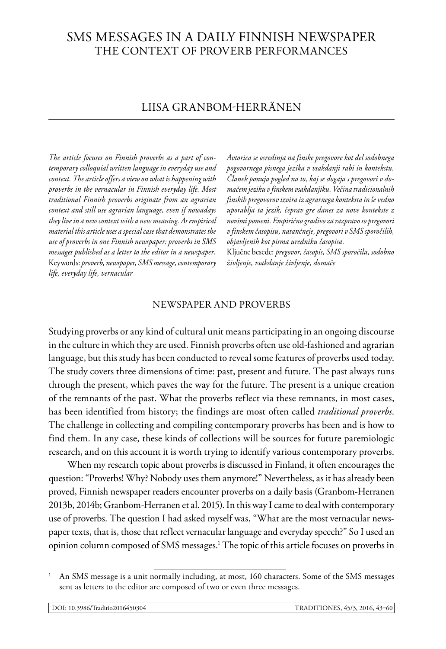# SMS messages in a daily Finnish newspaper the context of proverb performances

## Liisa Granbom-Herränen

*The article focuses on Finnish proverbs as a part of contemporary colloquial written language in everyday use and context. The article offers a view on what is happening with proverbs in the vernacular in Finnish everyday life. Most traditional Finnish proverbs originate from an agrarian context and still use agrarian language, even if nowadays they live in a new context with a new meaning. As empirical material this article uses a special case that demonstrates the use of proverbs in one Finnish newspaper: proverbs in SMS messages published as a letter to the editor in a newspaper.*  Keywords: *proverb, newspaper, SMS message, contemporary life, everyday life, vernacular*

*Avtorica se osredinja na finske pregovore kot del sodobnega pogovornega pisnega jezika v vsakdanji rabi in kontekstu. Članek ponuja pogled na to, kaj se dogaja s pregovori v domačem jeziku v finskem vsakdanjiku. Večina tradicionalnih finskih pregovorov izvira iz agrarnega konteksta in še vedno uporablja ta jezik, čeprav gre danes za nove kontekste z novimi pomeni. Empirično gradivo za razpravo so pregovori v finskem časopisu, natančneje, pregovori v SMS sporočilih, objavljenih kot pisma uredniku časopisa.*

Ključne besede: *pregovor, časopis, SMS sporočila, sodobno življenje, vsakdanje življenje, domače*

## NEWSPAPER AND PROVERBS

Studying proverbs or any kind of cultural unit means participating in an ongoing discourse in the culture in which they are used. Finnish proverbs often use old-fashioned and agrarian language, but this study has been conducted to reveal some features of proverbs used today. The study covers three dimensions of time: past, present and future. The past always runs through the present, which paves the way for the future. The present is a unique creation of the remnants of the past. What the proverbs reflect via these remnants, in most cases, has been identified from history; the findings are most often called *traditional proverbs*. The challenge in collecting and compiling contemporary proverbs has been and is how to find them. In any case, these kinds of collections will be sources for future paremiologic research, and on this account it is worth trying to identify various contemporary proverbs.

When my research topic about proverbs is discussed in Finland, it often encourages the question: "Proverbs! Why? Nobody uses them anymore!" Nevertheless, as it has already been proved, Finnish newspaper readers encounter proverbs on a daily basis (Granbom-Herranen 2013b, 2014b; Granbom-Herranen et al. 2015). In this way I came to deal with contemporary use of proverbs. The question I had asked myself was, "What are the most vernacular newspaper texts, that is, those that reflect vernacular language and everyday speech?" So I used an opinion column composed of SMS messages.1 The topic of this article focuses on proverbs in

<sup>1</sup> An SMS message is a unit normally including, at most, 160 characters. Some of the SMS messages sent as letters to the editor are composed of two or even three messages.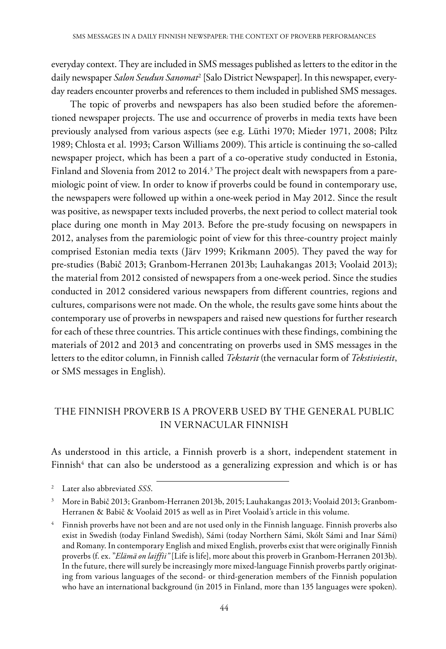everyday context. They are included in SMS messages published as letters to the editor in the daily newspaper *Salon Seudun Sanomat*<sup>2</sup> [Salo District Newspaper]. In this newspaper, everyday readers encounter proverbs and references to them included in published SMS messages.

The topic of proverbs and newspapers has also been studied before the aforementioned newspaper projects. The use and occurrence of proverbs in media texts have been previously analysed from various aspects (see e.g. Lüthi 1970; Mieder 1971, 2008; Piltz 1989; Chlosta et al. 1993; Carson Williams 2009). This article is continuing the so-called newspaper project, which has been a part of a co-operative study conducted in Estonia, Finland and Slovenia from 2012 to 2014.<sup>3</sup> The project dealt with newspapers from a paremiologic point of view. In order to know if proverbs could be found in contemporary use, the newspapers were followed up within a one-week period in May 2012. Since the result was positive, as newspaper texts included proverbs, the next period to collect material took place during one month in May 2013. Before the pre-study focusing on newspapers in 2012, analyses from the paremiologic point of view for this three-country project mainly comprised Estonian media texts (Järv 1999; Krikmann 2005). They paved the way for pre-studies (Babič 2013; Granbom-Herranen 2013b; Lauhakangas 2013; Voolaid 2013); the material from 2012 consisted of newspapers from a one-week period. Since the studies conducted in 2012 considered various newspapers from different countries, regions and cultures, comparisons were not made. On the whole, the results gave some hints about the contemporary use of proverbs in newspapers and raised new questions for further research for each of these three countries. This article continues with these findings, combining the materials of 2012 and 2013 and concentrating on proverbs used in SMS messages in the letters to the editor column, in Finnish called *Tekstarit* (the vernacular form of *Tekstiviestit*, or SMS messages in English).

## THE FINNISH PROVERB IS A PROVERB USED BY THE GENERAL PUBLIC IN VERNACULAR FINNISH

As understood in this article, a Finnish proverb is a short, independent statement in Finnish<sup>4</sup> that can also be understood as a generalizing expression and which is or has

<sup>2</sup> Later also abbreviated *SSS*.

<sup>3</sup> More in Babič 2013; Granbom-Herranen 2013b, 2015; Lauhakangas 2013; Voolaid 2013; Granbom-Herranen & Babič & Voolaid 2015 as well as in Piret Voolaid's article in this volume.

<sup>4</sup> Finnish proverbs have not been and are not used only in the Finnish language. Finnish proverbs also exist in Swedish (today Finland Swedish), Sámi (today Northern Sámi, Skólt Sámi and Inar Sámi) and Romany. In contemporary English and mixed English, proverbs exist that were originally Finnish proverbs (f. ex. "*Elämä on laiffii"* [Life is life], more about this proverb in Granbom-Herranen 2013b). In the future, there will surely be increasingly more mixed-language Finnish proverbs partly originating from various languages of the second- or third-generation members of the Finnish population who have an international background (in 2015 in Finland, more than 135 languages were spoken).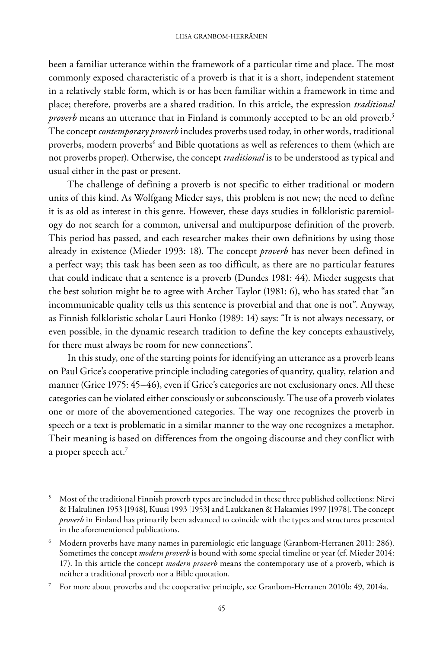been a familiar utterance within the framework of a particular time and place. The most commonly exposed characteristic of a proverb is that it is a short, independent statement in a relatively stable form, which is or has been familiar within a framework in time and place; therefore, proverbs are a shared tradition. In this article, the expression *traditional proverb* means an utterance that in Finland is commonly accepted to be an old proverb.<sup>5</sup> The concept *contemporary proverb* includes proverbs used today, in other words, traditional proverbs, modern proverbs<sup>6</sup> and Bible quotations as well as references to them (which are not proverbs proper). Otherwise, the concept *traditional* is to be understood as typical and usual either in the past or present.

The challenge of defining a proverb is not specific to either traditional or modern units of this kind. As Wolfgang Mieder says, this problem is not new; the need to define it is as old as interest in this genre. However, these days studies in folkloristic paremiology do not search for a common, universal and multipurpose definition of the proverb. This period has passed, and each researcher makes their own definitions by using those already in existence (Mieder 1993: 18). The concept *proverb* has never been defined in a perfect way; this task has been seen as too difficult, as there are no particular features that could indicate that a sentence is a proverb (Dundes 1981: 44). Mieder suggests that the best solution might be to agree with Archer Taylor (1981: 6), who has stated that "an incommunicable quality tells us this sentence is proverbial and that one is not". Anyway, as Finnish folkloristic scholar Lauri Honko (1989: 14) says: "It is not always necessary, or even possible, in the dynamic research tradition to define the key concepts exhaustively, for there must always be room for new connections".

In this study, one of the starting points for identifying an utterance as a proverb leans on Paul Grice's cooperative principle including categories of quantity, quality, relation and manner (Grice 1975: 45–46), even if Grice's categories are not exclusionary ones. All these categories can be violated either consciously or subconsciously. The use of a proverb violates one or more of the abovementioned categories. The way one recognizes the proverb in speech or a text is problematic in a similar manner to the way one recognizes a metaphor. Their meaning is based on differences from the ongoing discourse and they conflict with a proper speech act.<sup>7</sup>

<sup>&</sup>lt;sup>5</sup> Most of the traditional Finnish proverb types are included in these three published collections: Nirvi & Hakulinen 1953 [1948], Kuusi 1993 [1953] and Laukkanen & Hakamies 1997 [1978]. The concept *proverb* in Finland has primarily been advanced to coincide with the types and structures presented in the aforementioned publications.

<sup>6</sup> Modern proverbs have many names in paremiologic etic language (Granbom-Herranen 2011: 286). Sometimes the concept *modern proverb* is bound with some special timeline or year (cf. Mieder 2014: 17). In this article the concept *modern proverb* means the contemporary use of a proverb, which is neither a traditional proverb nor a Bible quotation.

<sup>7</sup> For more about proverbs and the cooperative principle, see Granbom-Herranen 2010b: 49, 2014a.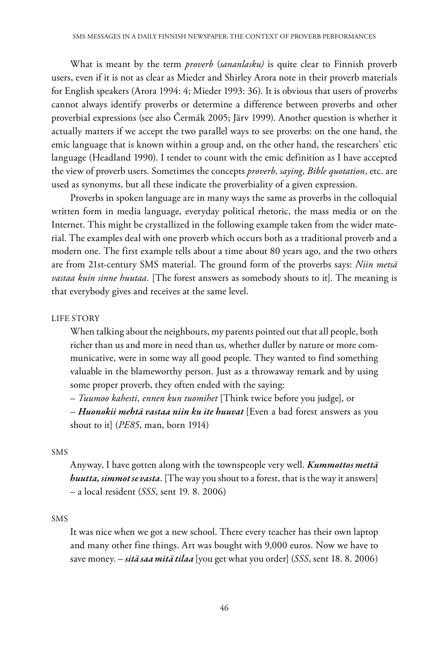What is meant by the term *proverb* (*sananlasku)* is quite clear to Finnish proverb users, even if it is not as clear as Mieder and Shirley Arora note in their proverb materials for English speakers (Arora 1994: 4; Mieder 1993: 36). It is obvious that users of proverbs cannot always identify proverbs or determine a difference between proverbs and other proverbial expressions (see also Čermák 2005; Järv 1999). Another question is whether it actually matters if we accept the two parallel ways to see proverbs: on the one hand, the emic language that is known within a group and, on the other hand, the researchers' etic language (Headland 1990). I tender to count with the emic definition as I have accepted the view of proverb users. Sometimes the concepts *proverb*, *saying*, *Bible quotation*, etc. are used as synonyms, but all these indicate the proverbiality of a given expression.

Proverbs in spoken language are in many ways the same as proverbs in the colloquial written form in media language, everyday political rhetoric, the mass media or on the Internet. This might be crystallized in the following example taken from the wider material. The examples deal with one proverb which occurs both as a traditional proverb and a modern one. The first example tells about a time about 80 years ago, and the two others are from 21st-century SMS material. The ground form of the proverbs says: *Niin metsä vastaa kuin sinne huutaa*. [The forest answers as somebody shouts to it]. The meaning is that everybody gives and receives at the same level.

#### LIFE STORY

When talking about the neighbours, my parents pointed out that all people, both richer than us and more in need than us, whether duller by nature or more communicative, were in some way all good people. They wanted to find something valuable in the blameworthy person. Just as a throwaway remark and by using some proper proverb, they often ended with the saying:

– *Tuumoo kahesti, ennen kun tuomihet* [Think twice before you judge], or

– *Huonokii mehtä vastaa niin ku ite huuvat* [Even a bad forest answers as you shout to it] (*PE85*, man, born 1914)

#### SMS

Anyway, I have gotten along with the townspeople very well. *Kummottos mettä huutta, simmot se vasta*. [The way you shout to a forest, that is the way it answers] – a local resident (*SSS*, sent 19. 8. 2006)

#### SMS

It was nice when we got a new school. There every teacher has their own laptop and many other fine things. Art was bought with 9,000 euros. Now we have to save money. – *sitä saa mitä tilaa* [you get what you order] (*SSS*, sent 18. 8. 2006)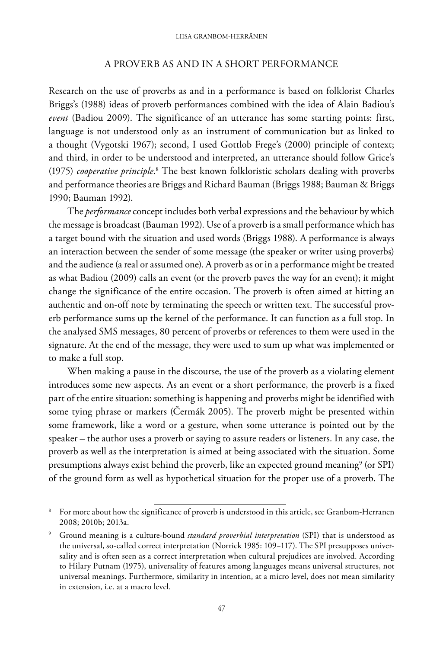## A PROVERB AS AND IN A SHORT PERFORMANCE

Research on the use of proverbs as and in a performance is based on folklorist Charles Briggs's (1988) ideas of proverb performances combined with the idea of Alain Badiou's *event* (Badiou 2009). The significance of an utterance has some starting points: first, language is not understood only as an instrument of communication but as linked to a thought (Vygotski 1967); second, I used Gottlob Frege's (2000) principle of context; and third, in order to be understood and interpreted, an utterance should follow Grice's (1975) *cooperative principle*. <sup>8</sup> The best known folkloristic scholars dealing with proverbs and performance theories are Briggs and Richard Bauman (Briggs 1988; Bauman & Briggs 1990; Bauman 1992).

The *performance* concept includes both verbal expressions and the behaviour by which the message is broadcast (Bauman 1992). Use of a proverb is a small performance which has a target bound with the situation and used words (Briggs 1988). A performance is always an interaction between the sender of some message (the speaker or writer using proverbs) and the audience (a real or assumed one). A proverb as or in a performance might be treated as what Badiou (2009) calls an event (or the proverb paves the way for an event); it might change the significance of the entire occasion. The proverb is often aimed at hitting an authentic and on-off note by terminating the speech or written text. The successful proverb performance sums up the kernel of the performance. It can function as a full stop. In the analysed SMS messages, 80 percent of proverbs or references to them were used in the signature. At the end of the message, they were used to sum up what was implemented or to make a full stop.

When making a pause in the discourse, the use of the proverb as a violating element introduces some new aspects. As an event or a short performance, the proverb is a fixed part of the entire situation: something is happening and proverbs might be identified with some tying phrase or markers (Čermák 2005). The proverb might be presented within some framework, like a word or a gesture, when some utterance is pointed out by the speaker – the author uses a proverb or saying to assure readers or listeners. In any case, the proverb as well as the interpretation is aimed at being associated with the situation. Some presumptions always exist behind the proverb, like an expected ground meaning $^{\circ}$  (or SPI) of the ground form as well as hypothetical situation for the proper use of a proverb. The

<sup>&</sup>lt;sup>8</sup> For more about how the significance of proverb is understood in this article, see Granbom-Herranen 2008; 2010b; 2013a.

<sup>9</sup> Ground meaning is a culture-bound *standard proverbial interpretation* (SPI) that is understood as the universal, so-called correct interpretation (Norrick 1985: 109−117). The SPI presupposes universality and is often seen as a correct interpretation when cultural prejudices are involved. According to Hilary Putnam (1975), universality of features among languages means universal structures, not universal meanings. Furthermore, similarity in intention, at a micro level, does not mean similarity in extension, i.e. at a macro level.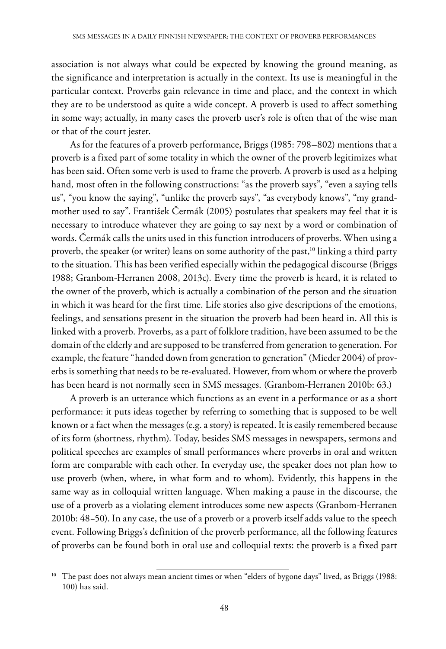association is not always what could be expected by knowing the ground meaning, as the significance and interpretation is actually in the context. Its use is meaningful in the particular context. Proverbs gain relevance in time and place, and the context in which they are to be understood as quite a wide concept. A proverb is used to affect something in some way; actually, in many cases the proverb user's role is often that of the wise man or that of the court jester.

As for the features of a proverb performance, Briggs (1985: 798–802) mentions that a proverb is a fixed part of some totality in which the owner of the proverb legitimizes what has been said. Often some verb is used to frame the proverb. A proverb is used as a helping hand, most often in the following constructions: "as the proverb says", "even a saying tells us", "you know the saying", "unlike the proverb says", "as everybody knows", "my grandmother used to say". František Čermák (2005) postulates that speakers may feel that it is necessary to introduce whatever they are going to say next by a word or combination of words. Čermák calls the units used in this function introducers of proverbs. When using a proverb, the speaker (or writer) leans on some authority of the past,<sup>10</sup> linking a third party to the situation. This has been verified especially within the pedagogical discourse (Briggs 1988; Granbom-Herranen 2008, 2013c). Every time the proverb is heard, it is related to the owner of the proverb, which is actually a combination of the person and the situation in which it was heard for the first time. Life stories also give descriptions of the emotions, feelings, and sensations present in the situation the proverb had been heard in. All this is linked with a proverb. Proverbs, as a part of folklore tradition, have been assumed to be the domain of the elderly and are supposed to be transferred from generation to generation. For example, the feature "handed down from generation to generation" (Mieder 2004) of proverbs is something that needs to be re-evaluated. However, from whom or where the proverb has been heard is not normally seen in SMS messages. (Granbom-Herranen 2010b: 63.)

A proverb is an utterance which functions as an event in a performance or as a short performance: it puts ideas together by referring to something that is supposed to be well known or a fact when the messages (e.g. a story) is repeated. It is easily remembered because of its form (shortness, rhythm). Today, besides SMS messages in newspapers, sermons and political speeches are examples of small performances where proverbs in oral and written form are comparable with each other. In everyday use, the speaker does not plan how to use proverb (when, where, in what form and to whom). Evidently, this happens in the same way as in colloquial written language. When making a pause in the discourse, the use of a proverb as a violating element introduces some new aspects (Granbom-Herranen 2010b: 48−50). In any case, the use of a proverb or a proverb itself adds value to the speech event. Following Briggs's definition of the proverb performance, all the following features of proverbs can be found both in oral use and colloquial texts: the proverb is a fixed part

<sup>&</sup>lt;sup>10</sup> The past does not always mean ancient times or when "elders of bygone days" lived, as Briggs (1988: 100) has said.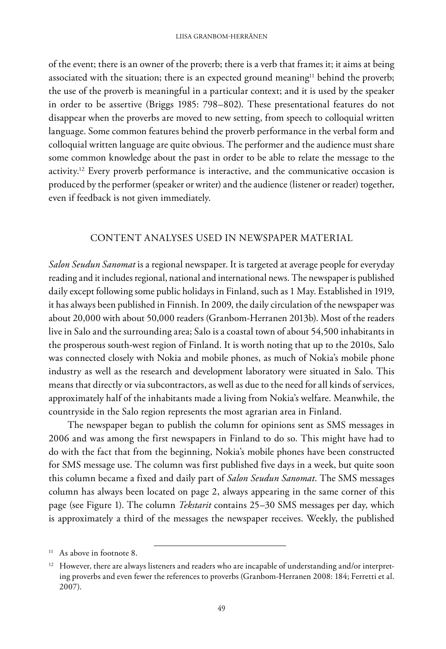of the event; there is an owner of the proverb; there is a verb that frames it; it aims at being associated with the situation; there is an expected ground meaning<sup>11</sup> behind the proverb; the use of the proverb is meaningful in a particular context; and it is used by the speaker in order to be assertive (Briggs 1985: 798–802). These presentational features do not disappear when the proverbs are moved to new setting, from speech to colloquial written language. Some common features behind the proverb performance in the verbal form and colloquial written language are quite obvious. The performer and the audience must share some common knowledge about the past in order to be able to relate the message to the activity.<sup>12</sup> Every proverb performance is interactive, and the communicative occasion is produced by the performer (speaker or writer) and the audience (listener or reader) together, even if feedback is not given immediately.

## CONTENT ANALYSES USED IN NEWSPAPER MATERIAL

*Salon Seudun Sanomat* is a regional newspaper. It is targeted at average people for everyday reading and it includes regional, national and international news. The newspaper is published daily except following some public holidays in Finland, such as 1 May. Established in 1919, it has always been published in Finnish. In 2009, the daily circulation of the newspaper was about 20,000 with about 50,000 readers (Granbom-Herranen 2013b). Most of the readers live in Salo and the surrounding area; Salo is a coastal town of about 54,500 inhabitants in the prosperous south-west region of Finland. It is worth noting that up to the 2010s, Salo was connected closely with Nokia and mobile phones, as much of Nokia's mobile phone industry as well as the research and development laboratory were situated in Salo. This means that directly or via subcontractors, as well as due to the need for all kinds of services, approximately half of the inhabitants made a living from Nokia's welfare. Meanwhile, the countryside in the Salo region represents the most agrarian area in Finland.

The newspaper began to publish the column for opinions sent as SMS messages in 2006 and was among the first newspapers in Finland to do so. This might have had to do with the fact that from the beginning, Nokia's mobile phones have been constructed for SMS message use. The column was first published five days in a week, but quite soon this column became a fixed and daily part of *Salon Seudun Sanomat*. The SMS messages column has always been located on page 2, always appearing in the same corner of this page (see Figure 1). The column *Tekstarit* contains 25–30 SMS messages per day, which is approximately a third of the messages the newspaper receives. Weekly, the published

<sup>&</sup>lt;sup>11</sup> As above in footnote 8.

<sup>&</sup>lt;sup>12</sup> However, there are always listeners and readers who are incapable of understanding and/or interpreting proverbs and even fewer the references to proverbs (Granbom-Herranen 2008: 184; Ferretti et al. 2007).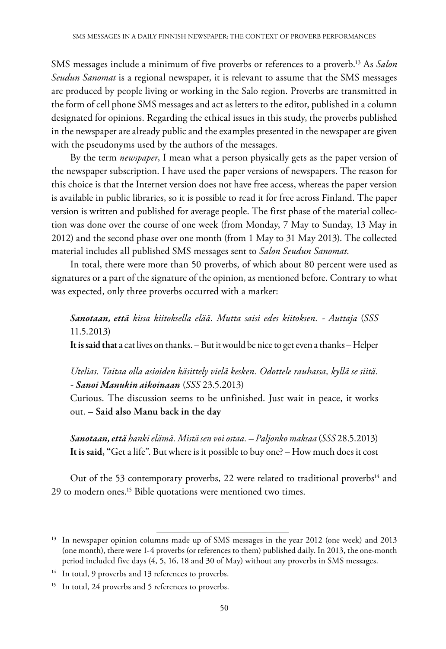SMS messages include a minimum of five proverbs or references to a proverb.13 As *Salon Seudun Sanomat* is a regional newspaper, it is relevant to assume that the SMS messages are produced by people living or working in the Salo region. Proverbs are transmitted in the form of cell phone SMS messages and act as letters to the editor, published in a column designated for opinions. Regarding the ethical issues in this study, the proverbs published in the newspaper are already public and the examples presented in the newspaper are given with the pseudonyms used by the authors of the messages.

By the term *newspaper*, I mean what a person physically gets as the paper version of the newspaper subscription. I have used the paper versions of newspapers. The reason for this choice is that the Internet version does not have free access, whereas the paper version is available in public libraries, so it is possible to read it for free across Finland. The paper version is written and published for average people. The first phase of the material collection was done over the course of one week (from Monday, 7 May to Sunday, 13 May in 2012) and the second phase over one month (from 1 May to 31 May 2013). The collected material includes all published SMS messages sent to *Salon Seudun Sanomat*.

In total, there were more than 50 proverbs, of which about 80 percent were used as signatures or a part of the signature of the opinion, as mentioned before. Contrary to what was expected, only three proverbs occurred with a marker:

*Sanotaan, että kissa kiitoksella elää. Mutta saisi edes kiitoksen. - Auttaja* (*SSS* 11.5.2013)

**It is said that** a cat lives on thanks. – But it would be nice to get even a thanks – Helper

*Utelias. Taitaa olla asioiden käsittely vielä kesken. Odottele rauhassa, kyllä se siitä. - Sanoi Manukin aikoinaan* (*SSS* 23.5.2013)

Curious. The discussion seems to be unfinished. Just wait in peace, it works out. – **Said also Manu back in the day**

*Sanotaan, että hanki elämä. Mistä sen voi ostaa. – Paljonko maksaa* (*SSS* 28.5.2013) **It is said, "**Get a life". But where is it possible to buy one? – How much does it cost

Out of the 53 contemporary proverbs, 22 were related to traditional proverbs<sup>14</sup> and 29 to modern ones.<sup>15</sup> Bible quotations were mentioned two times.

<sup>&</sup>lt;sup>13</sup> In newspaper opinion columns made up of SMS messages in the year 2012 (one week) and 2013 (one month), there were 1-4 proverbs (or references to them) published daily. In 2013, the one-month period included five days (4, 5, 16, 18 and 30 of May) without any proverbs in SMS messages.

<sup>&</sup>lt;sup>14</sup> In total, 9 proverbs and 13 references to proverbs.

<sup>&</sup>lt;sup>15</sup> In total, 24 proverbs and 5 references to proverbs.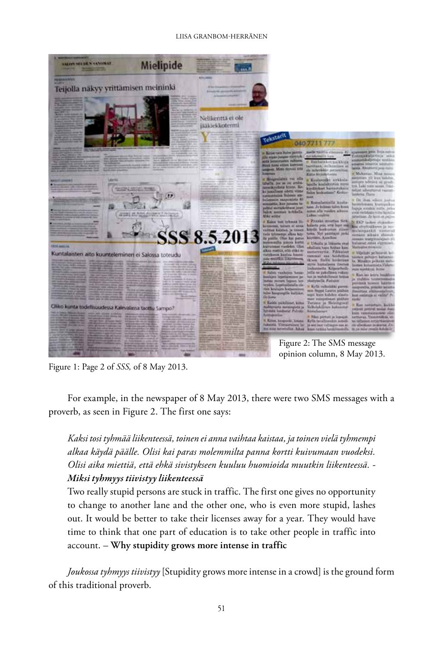#### Liisa Granbom-Herränen



Figure 1: Page 2 of *SSS,* of 8 May 2013.

For example, in the newspaper of 8 May 2013, there were two SMS messages with a proverb, as seen in Figure 2. The first one says:

*Kaksi tosi tyhmää liikenteessä, toinen ei anna vaihtaa kaistaa, ja toinen vielä tyhmempi alkaa käydä päälle. Olisi kai paras molemmilta panna kortti kuivumaan vuodeksi. Olisi aika miettiä, että ehkä sivistykseen kuuluu huomioida muutkin liikenteessä. - Miksi tyhmyys tiivistyy liikenteessä*

Two really stupid persons are stuck in traffic. The first one gives no opportunity to change to another lane and the other one, who is even more stupid, lashes out. It would be better to take their licenses away for a year. They would have time to think that one part of education is to take other people in traffic into account. – **Why stupidity grows more intense in traffic**

*Joukossa tyhmyys tiivistyy* [Stupidity grows more intense in a crowd] is the ground form of this traditional proverb.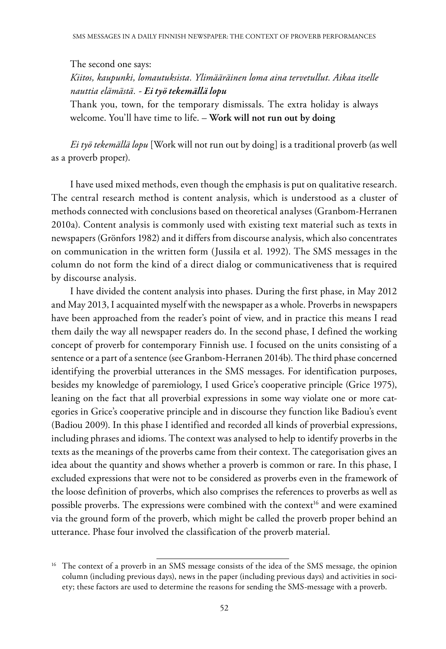The second one says:

*Kiitos, kaupunki, lomautuksista. Ylimääräinen loma aina tervetullut. Aikaa itselle nauttia elämästä. - Ei työ tekemällä lopu*

Thank you, town, for the temporary dismissals. The extra holiday is always welcome. You'll have time to life. – **Work will not run out by doing**

*Ei työ tekemällä lopu* [Work will not run out by doing] is a traditional proverb (as well as a proverb proper).

I have used mixed methods, even though the emphasis is put on qualitative research. The central research method is content analysis, which is understood as a cluster of methods connected with conclusions based on theoretical analyses (Granbom-Herranen 2010a). Content analysis is commonly used with existing text material such as texts in newspapers (Grönfors 1982) and it differs from discourse analysis, which also concentrates on communication in the written form (Jussila et al. 1992). The SMS messages in the column do not form the kind of a direct dialog or communicativeness that is required by discourse analysis.

I have divided the content analysis into phases. During the first phase, in May 2012 and May 2013, I acquainted myself with the newspaper as a whole. Proverbs in newspapers have been approached from the reader's point of view, and in practice this means I read them daily the way all newspaper readers do. In the second phase, I defined the working concept of proverb for contemporary Finnish use. I focused on the units consisting of a sentence or a part of a sentence (see Granbom-Herranen 2014b). The third phase concerned identifying the proverbial utterances in the SMS messages. For identification purposes, besides my knowledge of paremiology, I used Grice's cooperative principle (Grice 1975), leaning on the fact that all proverbial expressions in some way violate one or more categories in Grice's cooperative principle and in discourse they function like Badiou's event (Badiou 2009). In this phase I identified and recorded all kinds of proverbial expressions, including phrases and idioms. The context was analysed to help to identify proverbs in the texts as the meanings of the proverbs came from their context. The categorisation gives an idea about the quantity and shows whether a proverb is common or rare. In this phase, I excluded expressions that were not to be considered as proverbs even in the framework of the loose definition of proverbs, which also comprises the references to proverbs as well as possible proverbs. The expressions were combined with the context<sup>16</sup> and were examined via the ground form of the proverb, which might be called the proverb proper behind an utterance. Phase four involved the classification of the proverb material.

<sup>&</sup>lt;sup>16</sup> The context of a proverb in an SMS message consists of the idea of the SMS message, the opinion column (including previous days), news in the paper (including previous days) and activities in society; these factors are used to determine the reasons for sending the SMS-message with a proverb.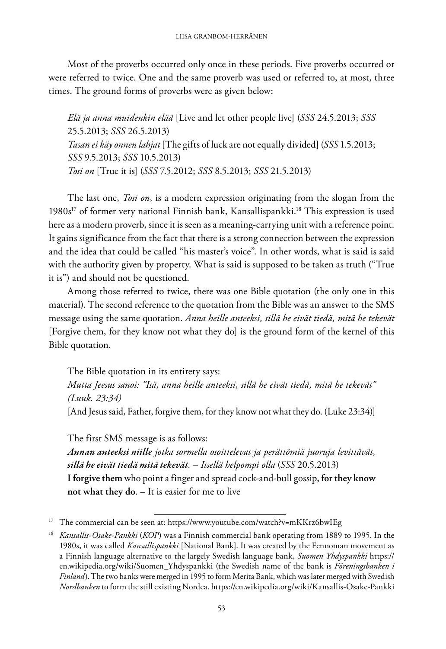Most of the proverbs occurred only once in these periods. Five proverbs occurred or were referred to twice. One and the same proverb was used or referred to, at most, three times. The ground forms of proverbs were as given below:

*Elä ja anna muidenkin elää* [Live and let other people live] (*SSS* 24.5.2013; *SSS* 25.5.2013; *SSS* 26.5.2013) *Tasan ei käy onnen lahjat* [The gifts of luck are not equally divided] (*SSS* 1.5.2013; *SSS* 9.5.2013; *SSS* 10.5.2013) *Tosi on* [True it is] (*SSS* 7.5.2012; *SSS* 8.5.2013; *SSS* 21.5.2013)

The last one, *Tosi on*, is a modern expression originating from the slogan from the 1980s<sup>17</sup> of former very national Finnish bank, Kansallispankki.<sup>18</sup> This expression is used here as a modern proverb, since it is seen as a meaning-carrying unit with a reference point. It gains significance from the fact that there is a strong connection between the expression and the idea that could be called "his master's voice". In other words, what is said is said with the authority given by property. What is said is supposed to be taken as truth ("True it is") and should not be questioned.

Among those referred to twice, there was one Bible quotation (the only one in this material). The second reference to the quotation from the Bible was an answer to the SMS message using the same quotation. *Anna heille anteeksi, sillä he eivät tiedä, mitä he tekevät* [Forgive them, for they know not what they do] is the ground form of the kernel of this Bible quotation.

The Bible quotation in its entirety says: *Mutta Jeesus sanoi: "Isä, anna heille anteeksi, sillä he eivät tiedä, mitä he tekevät" (Luuk. 23:34)* [And Jesus said, Father, forgive them, for they know not what they do. (Luke 23:34)]

The first SMS message is as follows: *Annan anteeksi niille jotka sormella osoittelevat ja perättömiä juoruja levittävät, sillä he eivät tiedä mitä tekevät.* – *Itsellä helpompi olla* (*SSS* 20.5.2013) **I forgive them** who point a finger and spread cock-and-bull gossip**, for they know not what they do**. – It is easier for me to live

<sup>&</sup>lt;sup>17</sup> The commercial can be seen at: https://www.youtube.com/watch?v=mKKrz6bwIEg

<sup>18</sup> *Kansallis-Osake-Pankki* (*KOP*) was a Finnish commercial bank operating from 1889 to 1995. In the 1980s, it was called *Kansallispankki* [National Bank]. It was created by the Fennoman movement as a Finnish language alternative to the largely Swedish language bank, *Suomen Yhdyspankki* https:// en.wikipedia.org/wiki/Suomen\_Yhdyspankki (the Swedish name of the bank is *Föreningsbanken i Finland*). The two banks were merged in 1995 to form Merita Bank, which was later merged with Swedish *Nordbanken* to form the still existing Nordea. https://en.wikipedia.org/wiki/Kansallis-Osake-Pankki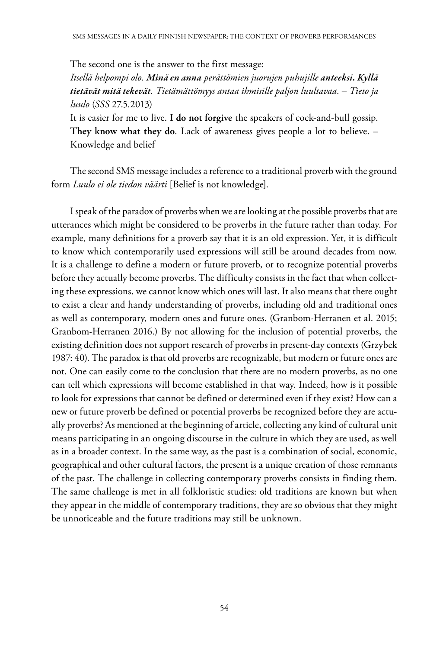The second one is the answer to the first message: *Itsellä helpompi olo. Minä en anna perättömien juorujen puhujille anteeksi. Kyllä tietävät mitä tekevät. Tietämättömyys antaa ihmisille paljon luultavaa.* – *Tieto ja luulo* (*SSS* 27.5.2013) It is easier for me to live. **I do not forgive** the speakers of cock-and-bull gossip.

**They know what they do**. Lack of awareness gives people a lot to believe. – Knowledge and belief

The second SMS message includes a reference to a traditional proverb with the ground form *Luulo ei ole tiedon väärti* [Belief is not knowledge].

I speak of the paradox of proverbs when we are looking at the possible proverbs that are utterances which might be considered to be proverbs in the future rather than today. For example, many definitions for a proverb say that it is an old expression. Yet, it is difficult to know which contemporarily used expressions will still be around decades from now. It is a challenge to define a modern or future proverb, or to recognize potential proverbs before they actually become proverbs. The difficulty consists in the fact that when collecting these expressions, we cannot know which ones will last. It also means that there ought to exist a clear and handy understanding of proverbs, including old and traditional ones as well as contemporary, modern ones and future ones. (Granbom-Herranen et al. 2015; Granbom-Herranen 2016.) By not allowing for the inclusion of potential proverbs, the existing definition does not support research of proverbs in present-day contexts (Grzybek 1987: 40). The paradox is that old proverbs are recognizable, but modern or future ones are not. One can easily come to the conclusion that there are no modern proverbs, as no one can tell which expressions will become established in that way. Indeed, how is it possible to look for expressions that cannot be defined or determined even if they exist? How can a new or future proverb be defined or potential proverbs be recognized before they are actually proverbs? As mentioned at the beginning of article, collecting any kind of cultural unit means participating in an ongoing discourse in the culture in which they are used, as well as in a broader context. In the same way, as the past is a combination of social, economic, geographical and other cultural factors, the present is a unique creation of those remnants of the past. The challenge in collecting contemporary proverbs consists in finding them. The same challenge is met in all folkloristic studies: old traditions are known but when they appear in the middle of contemporary traditions, they are so obvious that they might be unnoticeable and the future traditions may still be unknown.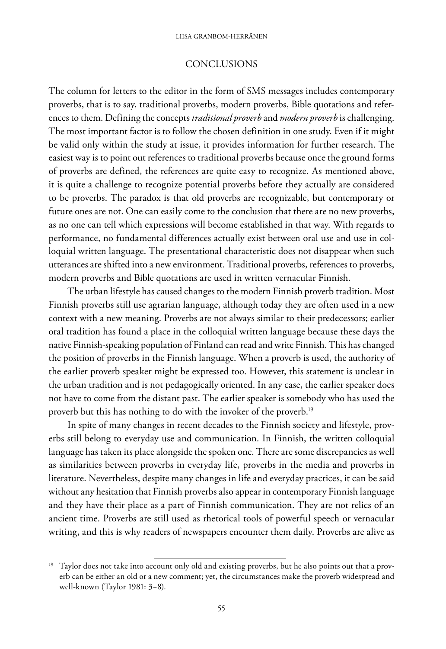### **CONCLUSIONS**

The column for letters to the editor in the form of SMS messages includes contemporary proverbs, that is to say, traditional proverbs, modern proverbs, Bible quotations and references to them. Defining the concepts *traditional proverb* and *modern proverb* is challenging. The most important factor is to follow the chosen definition in one study. Even if it might be valid only within the study at issue, it provides information for further research. The easiest way is to point out references to traditional proverbs because once the ground forms of proverbs are defined, the references are quite easy to recognize. As mentioned above, it is quite a challenge to recognize potential proverbs before they actually are considered to be proverbs. The paradox is that old proverbs are recognizable, but contemporary or future ones are not. One can easily come to the conclusion that there are no new proverbs, as no one can tell which expressions will become established in that way. With regards to performance, no fundamental differences actually exist between oral use and use in colloquial written language. The presentational characteristic does not disappear when such utterances are shifted into a new environment. Traditional proverbs, references to proverbs, modern proverbs and Bible quotations are used in written vernacular Finnish.

The urban lifestyle has caused changes to the modern Finnish proverb tradition. Most Finnish proverbs still use agrarian language, although today they are often used in a new context with a new meaning. Proverbs are not always similar to their predecessors; earlier oral tradition has found a place in the colloquial written language because these days the native Finnish-speaking population of Finland can read and write Finnish. This has changed the position of proverbs in the Finnish language. When a proverb is used, the authority of the earlier proverb speaker might be expressed too. However, this statement is unclear in the urban tradition and is not pedagogically oriented. In any case, the earlier speaker does not have to come from the distant past. The earlier speaker is somebody who has used the proverb but this has nothing to do with the invoker of the proverb.<sup>19</sup>

In spite of many changes in recent decades to the Finnish society and lifestyle, proverbs still belong to everyday use and communication. In Finnish, the written colloquial language has taken its place alongside the spoken one. There are some discrepancies as well as similarities between proverbs in everyday life, proverbs in the media and proverbs in literature. Nevertheless, despite many changes in life and everyday practices, it can be said without any hesitation that Finnish proverbs also appear in contemporary Finnish language and they have their place as a part of Finnish communication. They are not relics of an ancient time. Proverbs are still used as rhetorical tools of powerful speech or vernacular writing, and this is why readers of newspapers encounter them daily. Proverbs are alive as

<sup>&</sup>lt;sup>19</sup> Taylor does not take into account only old and existing proverbs, but he also points out that a proverb can be either an old or a new comment; yet, the circumstances make the proverb widespread and well-known (Taylor 1981: 3−8).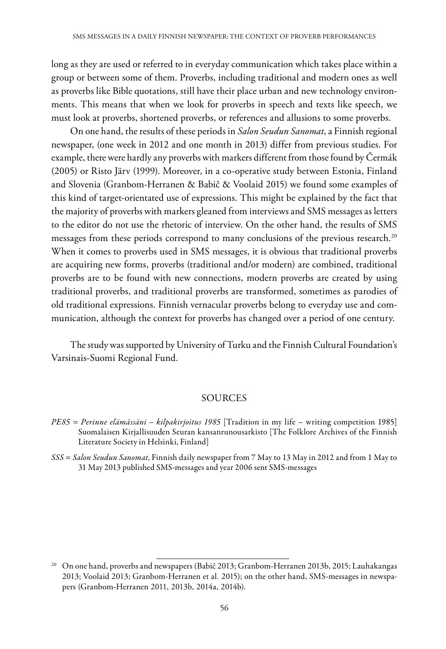long as they are used or referred to in everyday communication which takes place within a group or between some of them. Proverbs, including traditional and modern ones as well as proverbs like Bible quotations, still have their place urban and new technology environments. This means that when we look for proverbs in speech and texts like speech, we must look at proverbs, shortened proverbs, or references and allusions to some proverbs.

On one hand, the results of these periods in *Salon Seudun Sanomat*, a Finnish regional newspaper, (one week in 2012 and one month in 2013) differ from previous studies. For example, there were hardly any proverbs with markers different from those found by Čermák (2005) or Risto Järv (1999). Moreover, in a co-operative study between Estonia, Finland and Slovenia (Granbom-Herranen & Babič & Voolaid 2015) we found some examples of this kind of target-orientated use of expressions. This might be explained by the fact that the majority of proverbs with markers gleaned from interviews and SMS messages as letters to the editor do not use the rhetoric of interview. On the other hand, the results of SMS messages from these periods correspond to many conclusions of the previous research.<sup>20</sup> When it comes to proverbs used in SMS messages, it is obvious that traditional proverbs are acquiring new forms, proverbs (traditional and/or modern) are combined, traditional proverbs are to be found with new connections, modern proverbs are created by using traditional proverbs, and traditional proverbs are transformed, sometimes as parodies of old traditional expressions. Finnish vernacular proverbs belong to everyday use and communication, although the context for proverbs has changed over a period of one century.

The study was supported by University of Turku and the Finnish Cultural Foundation's Varsinais-Suomi Regional Fund.

#### **SOURCES**

*PE85 = Perinne elämässäni – kilpakirjoitus 1985* [Tradition in my life – writing competition 1985] Suomalaisen Kirjallisuuden Seuran kansanrunousarkisto [The Folklore Archives of the Finnish Literature Society in Helsinki, Finland]

*SSS* = *Salon Seudun Sanomat*, Finnish daily newspaper from 7 May to 13 May in 2012 and from 1 May to 31 May 2013 published SMS-messages and year 2006 sent SMS-messages

<sup>20</sup> On one hand, proverbs and newspapers (Babič 2013; Granbom-Herranen 2013b, 2015; Lauhakangas 2013; Voolaid 2013; Granbom-Herranen et al*.* 2015); on the other hand, SMS-messages in newspapers (Granbom-Herranen 2011, 2013b, 2014a, 2014b).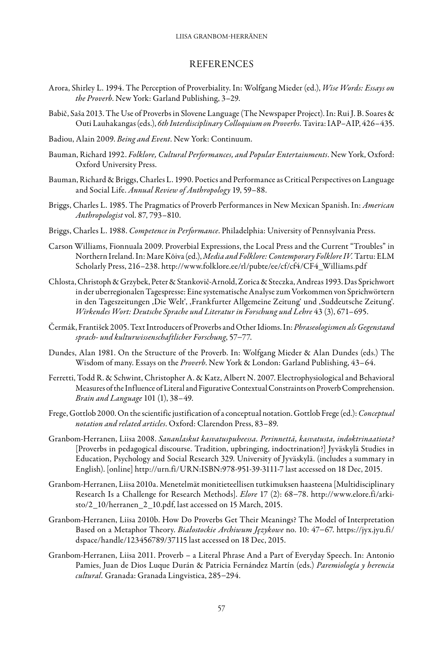#### **REFERENCES**

- Arora, Shirley L. 1994. The Perception of Proverbiality. In: Wolfgang Mieder (ed.), *Wise Words: Essays on the Proverb*. New York: Garland Publishing, 3–29.
- Babič, Saša 2013. The Use of Proverbs in Slovene Language (The Newspaper Project). In: Rui J. B. Soares & Outi Lauhakangas (eds.), *6th Interdisciplinary Colloquium on Proverbs.* Tavira: IAP–AIP, 426–435.
- Badiou, Alain 2009. *Being and Event*. New York: Continuum.
- Bauman, Richard 1992. *Folklore, Cultural Performances, and Popular Entertainments*. New York, Oxford: Oxford University Press.
- Bauman, Richard & Briggs, Charles L. 1990. Poetics and Performance as Critical Perspectives on Language and Social Life. *Annual Review of Anthropology* 19, 59–88.
- Briggs, Charles L. 1985. The Pragmatics of Proverb Performances in New Mexican Spanish. In: *American Anthropologist* vol. 87, 793–810.
- Briggs, Charles L. 1988. *Competence in Performance*. Philadelphia: University of Pennsylvania Press.
- Carson Williams, Fionnuala 2009. Proverbial Expressions, the Local Press and the Current "Troubles" in Northern Ireland. In: Mare Kõiva (ed.), *Media and Folklore: Contemporary Folklore IV.* Tartu: ELM Scholarly Press, 216–238. [http://www.folklore.ee/rl/pubte/ee/cf/cf4/CF4\\_Williams.pdf](http://www.folklore.ee/rl/pubte/ee/cf/cf4/CF4_Williams.pdf)
- Chlosta, Christoph & Grzybek, Peter & Stankovič-Arnold, Zorica & Steczka, Andreas 1993. Das Sprichwort in der uberregionalen Tagespresse: Eine systematische Analyse zum Vorkommen von Sprichwörtern in den Tageszeitungen , Die Welt', , Frankfurter Allgemeine Zeitung' und , Suddeutsche Zeitung'. *Wirkendes Wort: Deutsche Sprache und Literatur in Forschung und Lehre* 43 (3), 671–695.
- Čermák, František 2005. Text Introducers of Proverbs and Other Idioms. In: *Phraseologismen als Gegenstand sprach- und kulturwissenschaftlicher Forschung*, 57−77.
- Dundes, Alan 1981. On the Structure of the Proverb. In: Wolfgang Mieder & Alan Dundes (eds.) The Wisdom of many. Essays on the *Proverb*. New York & London: Garland Publishing, 43–64.
- Ferretti, Todd R. & Schwint, Christopher A. & Katz, Albert N. 2007. Electrophysiological and Behavioral Measures of the Influence of Literal and Figurative Contextual Constraints on Proverb Comprehension. *Brain and Language* 101 (1), 38–49.
- Frege, Gottlob 2000. On the scientific justification of a conceptual notation. Gottlob Frege (ed.): *Conceptual notation and related articles*. Oxford: Clarendon Press, 83–89.
- Granbom-Herranen, Liisa 2008. *Sananlaskut kasvatuspuheessa. Perinnettä, kasvatusta, indoktrinaatiota?* [Proverbs in pedagogical discourse. Tradition, upbringing, indoctrination?] Jyväskylä Studies in Education, Psychology and Social Research 329. University of Jyväskylä. (includes a summary in English). [online]<http://urn.fi/URN:ISBN:978-951-39-3111-7>last accessed on 18 Dec, 2015.
- Granbom-Herranen, Liisa 2010a. Menetelmät monitieteellisen tutkimuksen haasteena [Multidisciplinary Research Is a Challenge for Research Methods]. *Elore* 17 (2): 68−78. http://www.elore.fi/arkisto/2\_10/herranen\_2\_10.pdf, last accessed on 15 March, 2015.
- Granbom-Herranen, Liisa 2010b. How Do Proverbs Get Their Meanings? The Model of Interpretation Based on a Metaphor Theory. *Białostockie Archiwum Językowe* no. 10: 47−67. https://jyx.jyu.fi/ dspace/handle/123456789/37115 last accessed on 18 Dec, 2015.
- Granbom-Herranen, Liisa 2011. Proverb a Literal Phrase And a Part of Everyday Speech. In: Antonio Pamies, Juan de Dios Luque Durán & Patricia Fernández Martín (eds.) *Paremiología y herencia cultural.* Granada: Granada Lingvistica, 285−294.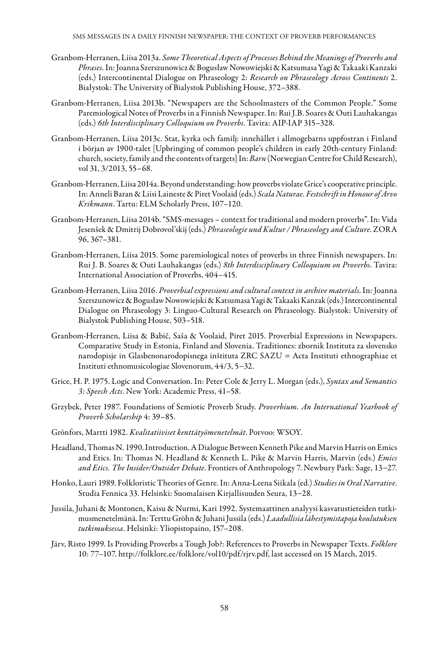- Granbom-Herranen, Liisa 2013a. *Some Theoretical Aspects of Processes Behind the Meanings of Proverbs and Phrases.* In: Joanna Szerszunowicz & Bogusław Nowowiejski & Katsumasa Yagi & Takaaki Kanzaki (eds.) Intercontinental Dialogue on Phraseology 2: *Research on Phraseology Across Continents* 2. Białystok: The University of Bialystok Publishing House, 372–388.
- Granbom-Herranen, Liisa 2013b. "Newspapers are the Schoolmasters of the Common People." Some Paremiological Notes of Proverbs in a Finnish Newspaper. In: Rui J.B. Soares & Outi Lauhakangas (eds.) *6th Interdisciplinary Colloquium on Proverbs*. Tavira: AIP-IAP 315–328.
- Granbom-Herranen, Liisa 2013c. Stat, kyrka och familj: innehållet i allmogebarns uppfostran i Finland i början av 1900-talet [Upbringing of common people's children in early 20th-century Finland: church, society, family and the contents of targets] In: *Barn* (Norwegian Centre for Child Research), vol 31, 3/2013, 55–68.
- Granbom-Herranen, Liisa 2014a. Beyond understanding: how proverbs violate Grice's cooperative principle. In: Anneli Baran & Liisi Laineste & Piret Voolaid (eds.) *Scala Naturae. Festschrift in Honour of Arvo Krikmann*. Tartu: ELM Scholarly Press, 107–120.
- Granbom-Herranen, Liisa 2014b. "SMS-messages context for traditional and modern proverbs". In: Vida Jesenšek & Dmitrij Dobrovol'skij (eds.) *Phraseologie und Kultur / Phraseology and Culture*. ZORA 96, 367–381.
- Granbom-Herranen, Liisa 2015. Some paremiological notes of proverbs in three Finnish newspapers. In: Rui J. B. Soares & Outi Lauhakangas (eds.) *8th Interdisciplinary Colloquium on Proverbs*. Tavira: International Association of Proverbs, 404–415.
- Granbom-Herranen, Liisa 2016. *Proverbial expressions and cultural context in archive materials*. In: Joanna Szerszunowicz & Bogusław Nowowiejski & Katsumasa Yagi & Takaaki Kanzak (eds.) Intercontinental Dialogue on Phraseology 3: Linguo-Cultural Research on Phraseology. Bialystok: University of Bialystok Publishing House, 503–518.
- Granbom-Herranen, Liisa & Babič, Saša & Voolaid, Piret 2015. Proverbial Expressions in Newspapers. Comparative Study in Estonia, Finland and Slovenia. Traditiones: zbornik Instituta za slovensko narodopisje in Glasbenonarodopisnega inštituta ZRC SAZU = Acta Instituti ethnographiae et Instituti ethnomusicologiae Slovenorum, 44/3, 5−32.
- Grice, H. P. 1975. Logic and Conversation. In: Peter Cole & Jerry L. Morgan (eds.), *Syntax and Semantics 3: Speech Acts*. New York: Academic Press, 41–58.
- Grzybek, Peter 1987. Foundations of Semiotic Proverb Study. *Proverbium. An International Yearbook of Proverb Scholarship* 4: 39–85.
- Grönfors, Martti 1982. *Kvalitatiiviset kenttätyömenetelmät*. Porvoo: WSOY.
- Headland, Thomas N. 1990. Introduction. A Dialogue Between Kenneth Pike and Marvin Harris on Emics and Etics. In: Thomas N. Headland & Kenneth L. Pike & Marvin Harris, Marvin (eds.) *Emics and Etics. The Insider/Outsider Debate*. Frontiers of Anthropology 7. Newbury Park: Sage, 13−27.
- Honko, Lauri 1989. Folkloristic Theories of Genre. In: Anna-Leena Siikala (ed.) *Studies in Oral Narrative*. Studia Fennica 33. Helsinki: Suomalaisen Kirjallisuuden Seura, 13−28.
- Jussila, Juhani & Montonen, Kaisu & Nurmi, Kari 1992. Systemaattinen analyysi kasvatustieteiden tutkimusmenetelmänä. In: Terttu Gröhn & Juhani Jussila (eds.) *Laadullisia lähestymistapoja koulutuksen tutkimuksessa*. Helsinki: Yliopistopaino, 157–208.
- Järv, Risto 1999. Is Providing Proverbs a Tough Job?: References to Proverbs in Newspaper Texts. *Folklore*  10: 77–107. http://folklore.ee/folklore/vol10/pdf/rjrv.pdf, last accessed on 15 March, 2015.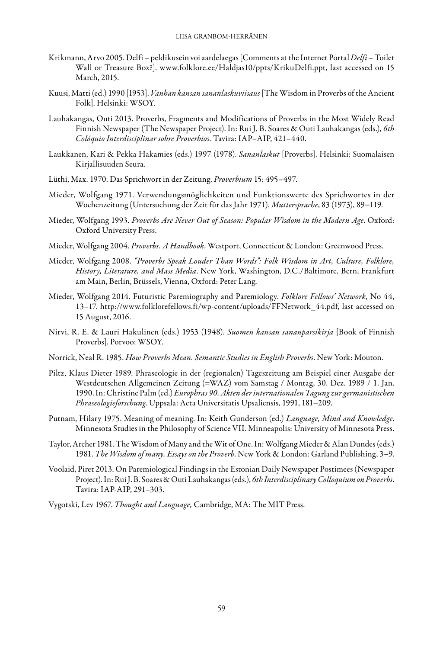- Krikmann, Arvo 2005. Delfi peldikusein voi aardelaegas [Comments at the Internet Portal *Delfi*  Toilet Wall or Treasure Box?]. www.folklore.ee/Haldjas10/ppts/KrikuDelfi.ppt, last accessed on 15 March, 2015.
- Kuusi, Matti (ed.) 1990 [1953]. *Vanhan kansan sananlaskuviisaus* [The Wisdom in Proverbs of the Ancient Folk]. Helsinki: WSOY.
- Lauhakangas, Outi 2013. Proverbs, Fragments and Modifications of Proverbs in the Most Widely Read Finnish Newspaper (The Newspaper Project). In: Rui J. B. Soares & Outi Lauhakangas (eds.), *6th Colóquio Interdisciplinar sobre Proverbios.* Tavira: IAP–AIP, 421–440.
- Laukkanen, Kari & Pekka Hakamies (eds.) 1997 (1978). *Sananlaskut* [Proverbs]. Helsinki: Suomalaisen Kirjallisuuden Seura.
- Lüthi, Max. 1970. Das Sprichwort in der Zeitung. *Proverbium* 15: 495–497.
- Mieder, Wolfgang 1971. Verwendungsmöglichkeiten und Funktionswerte des Sprichwortes in der Wochenzeitung (Untersuchung der Zeit für das Jahr 1971). *Muttersprache*, 83 (1973), 89−119.
- Mieder, Wolfgang 1993. *Proverbs Are Never Out of Season: Popular Wisdom in the Modern Age*. Oxford: Oxford University Press.
- Mieder, Wolfgang 2004. *Proverbs. A Handbook*. Westport, Connecticut & London: Greenwood Press.
- Mieder, Wolfgang 2008. *"Proverbs Speak Louder Than Words": Folk Wisdom in Art, Culture, Folklore, History, Literature, and Mass Media*. New York, Washington, D.C./Baltimore, Bern, Frankfurt am Main, Berlin, Brüssels, Vienna, Oxford: Peter Lang.
- Mieder, Wolfgang 2014. Futuristic Paremiography and Paremiology. *Folklore Fellows' Network*, No 44, 13–17. http://www.folklorefellows.fi/wp-content/uploads/FFNetwork\_44.pdf, last accessed on 15 August, 2016.
- Nirvi, R. E. & Lauri Hakulinen (eds.) 1953 (1948). *Suomen kansan sananparsikirja* [Book of Finnish Proverbs]. Porvoo: WSOY.
- Norrick, Neal R. 1985. *How Proverbs Mean. Semantic Studies in English Proverbs*. New York: Mouton.
- Piltz, Klaus Dieter 1989. Phraseologie in der (regionalen) Tageszeitung am Beispiel einer Ausgabe der Westdeutschen Allgemeinen Zeitung (=WAZ) vom Samstag / Montag, 30. Dez. 1989 / 1. Jan. 1990. In: Christine Palm (ed.) *Europhras 90. Akten der internationalen Tagung zur germanistischen Phraseologieforschung*. Uppsala: Acta Universitatis Upsaliensis, 1991, 181−209.
- Putnam, Hilary 1975. Meaning of meaning. In: Keith Gunderson (ed.) *Language, Mind and Knowledge*. Minnesota Studies in the Philosophy of Science VII. Minneapolis: University of Minnesota Press.
- Taylor, Archer 1981. The Wisdom of Many and the Wit of One. In: Wolfgang Mieder & Alan Dundes (eds.) 1981. *The Wisdom of many. Essays on the Proverb*. New York & London: Garland Publishing, 3–9.
- Voolaid, Piret 2013. On Paremiological Findings in the Estonian Daily Newspaper Postimees (Newspaper Project). In: Rui J. B. Soares & Outi Lauhakangas (eds.), *6th Interdisciplinary Colloquium on Proverbs*. Tavira: IAP-AIP, 291–303.
- Vygotski, Lev 1967. *Thought and Language,* Cambridge, MA: The MIT Press.